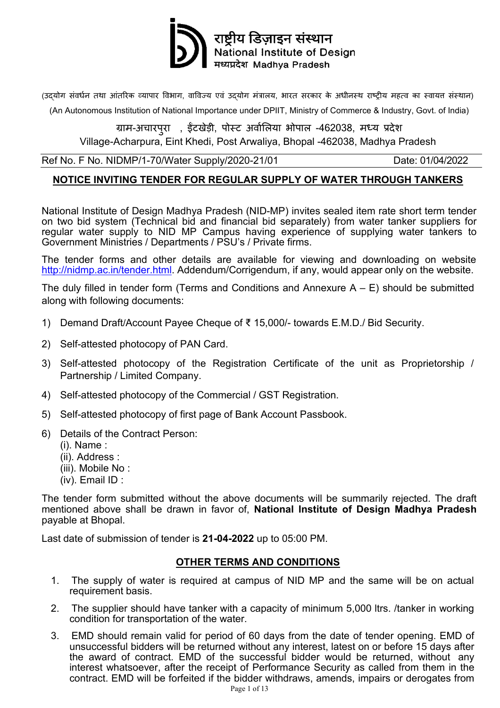

(उदयोग संवर्धन तथा आंतरिक व्यापार विभाग, वाविज्य एवं उदयोग मंत्रालय, भारत सरकार के अधीनस्थ राष्ट्रीय महत्व का स्वायत्त संस्थान)

(An Autonomous Institution of National Importance under DPIIT, [Ministry of Commerce & Industry,](https://en.wikipedia.org/wiki/Ministry_of_Commerce_and_Industry_(India)) Govt. of India)

ग्राम-अचारपुरा , इटखेड़ी, पोस्ट अवॉलिया भोपाल -462038, मध्य प्रदेश Village-Acharpura, Eint Khedi, Post Arwaliya, Bhopal -462038, Madhya Pradesh

Ref No. F No. NIDMP/1-70/Water Supply/2020-21/01 Date: 01/04/2022

#### **NOTICE INVITING TENDER FOR REGULAR SUPPLY OF WATER THROUGH TANKERS**

National Institute of Design Madhya Pradesh (NID-MP) invites sealed item rate short term tender on two bid system (Technical bid and financial bid separately) from water tanker suppliers for regular water supply to NID MP Campus having experience of supplying water tankers to Government Ministries / Departments / PSU's / Private firms.

The tender forms and other details are available for viewing and downloading on website [http://nidmp.ac.in/tender.html.](http://nidmp.ac.in/tender.html) Addendum/Corrigendum, if any, would appear only on the website.

The duly filled in tender form (Terms and Conditions and Annexure  $A - E$ ) should be submitted along with following documents:

- 1) Demand Draft/Account Payee Cheque of ₹ 15,000/- towards E.M.D./ Bid Security.
- 2) Self-attested photocopy of PAN Card.
- 3) Self-attested photocopy of the Registration Certificate of the unit as Proprietorship / Partnership / Limited Company.
- 4) Self-attested photocopy of the Commercial / GST Registration.
- 5) Self-attested photocopy of first page of Bank Account Passbook.
- 6) Details of the Contract Person:
	- (i). Name :
	- (ii). Address :
	- (iii). Mobile No :
	- (iv). Email ID :

The tender form submitted without the above documents will be summarily rejected. The draft mentioned above shall be drawn in favor of, **National Institute of Design Madhya Pradesh** payable at Bhopal.

Last date of submission of tender is **21-04-2022** up to 05:00 PM.

#### **OTHER TERMS AND CONDITIONS**

- 1. The supply of water is required at campus of NID MP and the same will be on actual requirement basis.
- 2. The supplier should have tanker with a capacity of minimum 5,000 ltrs. /tanker in working condition for transportation of the water.
- 3. EMD should remain valid for period of 60 days from the date of tender opening. EMD of unsuccessful bidders will be returned without any interest, latest on or before 15 days after the award of contract. EMD of the successful bidder would be returned, without any interest whatsoever, after the receipt of Performance Security as called from them in the contract. EMD will be forfeited if the bidder withdraws, amends, impairs or derogates from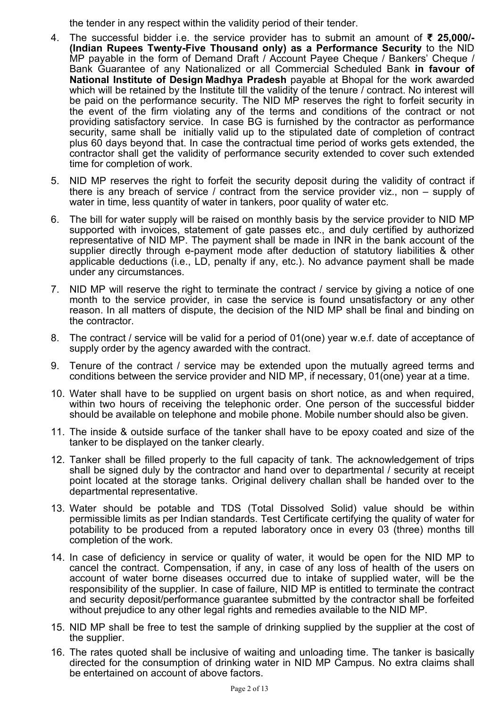the tender in any respect within the validity period of their tender.

- 4. The successful bidder i.e. the service provider has to submit an amount of **₹ 25,000/- (Indian Rupees Twenty-Five Thousand only) as a Performance Security** to the NID MP payable in the form of Demand Draft / Account Payee Cheque / Bankers' Cheque / Bank Guarantee of any Nationalized or all Commercial Scheduled Bank **in favour of National Institute of Design Madhya Pradesh** payable at Bhopal for the work awarded which will be retained by the Institute till the validity of the tenure / contract. No interest will be paid on the performance security. The NID MP reserves the right to forfeit security in the event of the firm violating any of the terms and conditions of the contract or not providing satisfactory service. In case BG is furnished by the contractor as performance security, same shall be initially valid up to the stipulated date of completion of contract plus 60 days beyond that. In case the contractual time period of works gets extended, the contractor shall get the validity of performance security extended to cover such extended time for completion of work.
- 5. NID MP reserves the right to forfeit the security deposit during the validity of contract if there is any breach of service / contract from the service provider viz., non – supply of water in time, less quantity of water in tankers, poor quality of water etc.
- 6. The bill for water supply will be raised on monthly basis by the service provider to NID MP supported with invoices, statement of gate passes etc., and duly certified by authorized representative of NID MP. The payment shall be made in INR in the bank account of the supplier directly through e-payment mode after deduction of statutory liabilities & other applicable deductions (i.e., LD, penalty if any, etc.). No advance payment shall be made under any circumstances.
- 7. NID MP will reserve the right to terminate the contract / service by giving a notice of one month to the service provider, in case the service is found unsatisfactory or any other reason. In all matters of dispute, the decision of the NID MP shall be final and binding on the contractor.
- 8. The contract / service will be valid for a period of 01(one) year w.e.f. date of acceptance of supply order by the agency awarded with the contract.
- 9. Tenure of the contract / service may be extended upon the mutually agreed terms and conditions between the service provider and NID MP, if necessary, 01(one) year at a time.
- 10. Water shall have to be supplied on urgent basis on short notice, as and when required, within two hours of receiving the telephonic order. One person of the successful bidder should be available on telephone and mobile phone. Mobile number should also be given.
- 11. The inside & outside surface of the tanker shall have to be epoxy coated and size of the tanker to be displayed on the tanker clearly.
- 12. Tanker shall be filled properly to the full capacity of tank. The acknowledgement of trips shall be signed duly by the contractor and hand over to departmental / security at receipt point located at the storage tanks. Original delivery challan shall be handed over to the departmental representative.
- 13. Water should be potable and TDS (Total Dissolved Solid) value should be within permissible limits as per Indian standards. Test Certificate certifying the quality of water for potability to be produced from a reputed laboratory once in every 03 (three) months till completion of the work.
- 14. In case of deficiency in service or quality of water, it would be open for the NID MP to cancel the contract. Compensation, if any, in case of any loss of health of the users on account of water borne diseases occurred due to intake of supplied water, will be the responsibility of the supplier. In case of failure, NID MP is entitled to terminate the contract and security deposit/performance guarantee submitted by the contractor shall be forfeited without prejudice to any other legal rights and remedies available to the NID MP.
- 15. NID MP shall be free to test the sample of drinking supplied by the supplier at the cost of the supplier.
- 16. The rates quoted shall be inclusive of waiting and unloading time. The tanker is basically directed for the consumption of drinking water in NID MP Campus. No extra claims shall be entertained on account of above factors.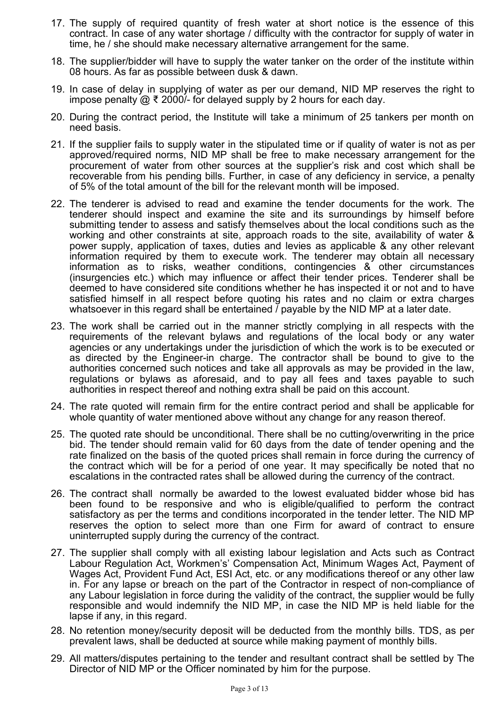- 17. The supply of required quantity of fresh water at short notice is the essence of this contract. In case of any water shortage / difficulty with the contractor for supply of water in time, he / she should make necessary alternative arrangement for the same.
- 18. The supplier/bidder will have to supply the water tanker on the order of the institute within 08 hours. As far as possible between dusk & dawn.
- 19. In case of delay in supplying of water as per our demand, NID MP reserves the right to impose penalty @ ₹ 2000/- for delayed supply by 2 hours for each day.
- 20. During the contract period, the Institute will take a minimum of 25 tankers per month on need basis.
- 21. If the supplier fails to supply water in the stipulated time or if quality of water is not as per approved/required norms, NID MP shall be free to make necessary arrangement for the procurement of water from other sources at the supplier's risk and cost which shall be recoverable from his pending bills. Further, in case of any deficiency in service, a penalty of 5% of the total amount of the bill for the relevant month will be imposed.
- 22. The tenderer is advised to read and examine the tender documents for the work. The tenderer should inspect and examine the site and its surroundings by himself before submitting tender to assess and satisfy themselves about the local conditions such as the working and other constraints at site, approach roads to the site, availability of water & power supply, application of taxes, duties and levies as applicable & any other relevant information required by them to execute work. The tenderer may obtain all necessary information as to risks, weather conditions, contingencies & other circumstances (insurgencies etc.) which may influence or affect their tender prices. Tenderer shall be deemed to have considered site conditions whether he has inspected it or not and to have satisfied himself in all respect before quoting his rates and no claim or extra charges whatsoever in this regard shall be entertained / payable by the NID MP at a later date.
- 23. The work shall be carried out in the manner strictly complying in all respects with the requirements of the relevant bylaws and regulations of the local body or any water agencies or any undertakings under the jurisdiction of which the work is to be executed or as directed by the Engineer-in charge. The contractor shall be bound to give to the authorities concerned such notices and take all approvals as may be provided in the law, regulations or bylaws as aforesaid, and to pay all fees and taxes payable to such authorities in respect thereof and nothing extra shall be paid on this account.
- 24. The rate quoted will remain firm for the entire contract period and shall be applicable for whole quantity of water mentioned above without any change for any reason thereof.
- 25. The quoted rate should be unconditional. There shall be no cutting/overwriting in the price bid. The tender should remain valid for 60 days from the date of tender opening and the rate finalized on the basis of the quoted prices shall remain in force during the currency of the contract which will be for a period of one year. It may specifically be noted that no escalations in the contracted rates shall be allowed during the currency of the contract.
- 26. The contract shall normally be awarded to the lowest evaluated bidder whose bid has been found to be responsive and who is eligible/qualified to perform the contract satisfactory as per the terms and conditions incorporated in the tender letter. The NID MP reserves the option to select more than one Firm for award of contract to ensure uninterrupted supply during the currency of the contract.
- 27. The supplier shall comply with all existing labour legislation and Acts such as Contract Labour Regulation Act, Workmen's' Compensation Act, Minimum Wages Act, Payment of Wages Act, Provident Fund Act, ESI Act, etc. or any modifications thereof or any other law in. For any lapse or breach on the part of the Contractor in respect of non-compliance of any Labour legislation in force during the validity of the contract, the supplier would be fully responsible and would indemnify the NID MP, in case the NID MP is held liable for the lapse if any, in this regard.
- 28. No retention money/security deposit will be deducted from the monthly bills. TDS, as per prevalent laws, shall be deducted at source while making payment of monthly bills.
- 29. All matters/disputes pertaining to the tender and resultant contract shall be settled by The Director of NID MP or the Officer nominated by him for the purpose.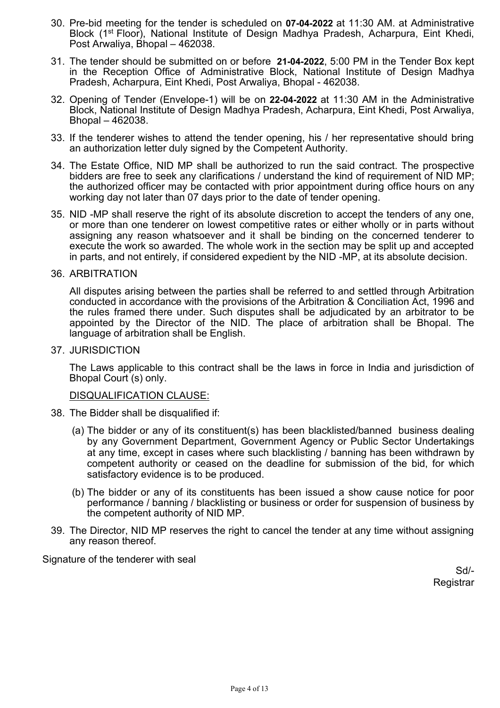- 30. Pre-bid meeting for the tender is scheduled on **07-04-2022** at 11:30 AM. at Administrative Block (1st Floor), National Institute of Design Madhya Pradesh, Acharpura, Eint Khedi, Post Arwaliya, Bhopal – 462038.
- 31. The tender should be submitted on or before **21-04-2022**, 5:00 PM in the Tender Box kept in the Reception Office of Administrative Block, National Institute of Design Madhya Pradesh, Acharpura, Eint Khedi, Post Arwaliya, Bhopal - 462038.
- 32. Opening of Tender (Envelope-1) will be on **22-04-2022** at 11:30 AM in the Administrative Block, National Institute of Design Madhya Pradesh, Acharpura, Eint Khedi, Post Arwaliya, Bhopal – 462038.
- 33. If the tenderer wishes to attend the tender opening, his / her representative should bring an authorization letter duly signed by the Competent Authority.
- 34. The Estate Office, NID MP shall be authorized to run the said contract. The prospective bidders are free to seek any clarifications / understand the kind of requirement of NID MP; the authorized officer may be contacted with prior appointment during office hours on any working day not later than 07 days prior to the date of tender opening.
- 35. NID -MP shall reserve the right of its absolute discretion to accept the tenders of any one, or more than one tenderer on lowest competitive rates or either wholly or in parts without assigning any reason whatsoever and it shall be binding on the concerned tenderer to execute the work so awarded. The whole work in the section may be split up and accepted in parts, and not entirely, if considered expedient by the NID -MP, at its absolute decision.
- 36. ARBITRATION

All disputes arising between the parties shall be referred to and settled through Arbitration conducted in accordance with the provisions of the Arbitration & Conciliation Act, 1996 and the rules framed there under. Such disputes shall be adjudicated by an arbitrator to be appointed by the Director of the NID. The place of arbitration shall be Bhopal. The language of arbitration shall be English.

37. JURISDICTION

The Laws applicable to this contract shall be the laws in force in India and jurisdiction of Bhopal Court (s) only.

#### DISQUALIFICATION CLAUSE:

- 38. The Bidder shall be disqualified if:
	- (a) The bidder or any of its constituent(s) has been blacklisted/banned business dealing by any Government Department, Government Agency or Public Sector Undertakings at any time, except in cases where such blacklisting / banning has been withdrawn by competent authority or ceased on the deadline for submission of the bid, for which satisfactory evidence is to be produced.
	- (b) The bidder or any of its constituents has been issued a show cause notice for poor performance / banning / blacklisting or business or order for suspension of business by the competent authority of NID MP.
- 39. The Director, NID MP reserves the right to cancel the tender at any time without assigning any reason thereof.

Signature of the tenderer with seal

Sd/- Registrar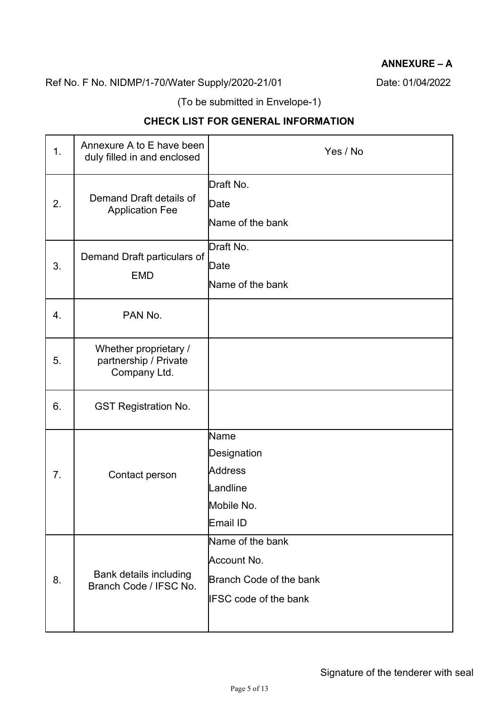# **ANNEXURE – A**

# Ref No. F No. NIDMP/1-70/Water Supply/2020-21/01 Date: 01/04/2022

(To be submitted in Envelope-1)

# **CHECK LIST FOR GENERAL INFORMATION**

| 1. | Annexure A to E have been<br>duly filled in and enclosed       | Yes / No                                                                                   |
|----|----------------------------------------------------------------|--------------------------------------------------------------------------------------------|
| 2. | Demand Draft details of<br><b>Application Fee</b>              | Draft No.<br>Date<br>Name of the bank                                                      |
| 3. | Demand Draft particulars of<br><b>EMD</b>                      | Draft No.<br>Date<br>Name of the bank                                                      |
| 4. | PAN No.                                                        |                                                                                            |
| 5. | Whether proprietary /<br>partnership / Private<br>Company Ltd. |                                                                                            |
| 6. | <b>GST Registration No.</b>                                    |                                                                                            |
| 7. | Contact person                                                 | Name<br>Designation<br><b>Address</b><br>Landline<br>Mobile No.<br><b>Email ID</b>         |
| 8. | <b>Bank details including</b><br>Branch Code / IFSC No.        | Name of the bank<br>Account No.<br>Branch Code of the bank<br><b>IFSC code of the bank</b> |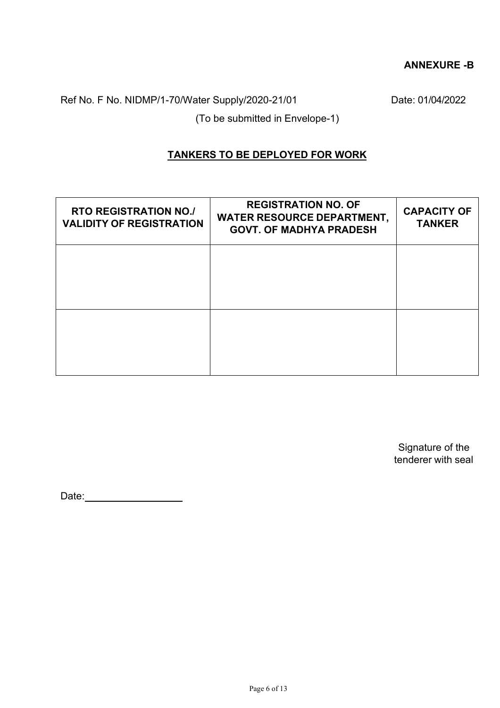#### **ANNEXURE -B**

Ref No. F No. NIDMP/1-70/Water Supply/2020-21/01 Date: 01/04/2022

(To be submitted in Envelope-1)

### **TANKERS TO BE DEPLOYED FOR WORK**

| <b>RTO REGISTRATION NO./</b><br><b>VALIDITY OF REGISTRATION</b> | <b>REGISTRATION NO. OF</b><br><b>WATER RESOURCE DEPARTMENT,</b><br><b>GOVT. OF MADHYA PRADESH</b> | <b>CAPACITY OF</b><br><b>TANKER</b> |
|-----------------------------------------------------------------|---------------------------------------------------------------------------------------------------|-------------------------------------|
|                                                                 |                                                                                                   |                                     |
|                                                                 |                                                                                                   |                                     |
|                                                                 |                                                                                                   |                                     |

Signature of the tenderer with seal

Date: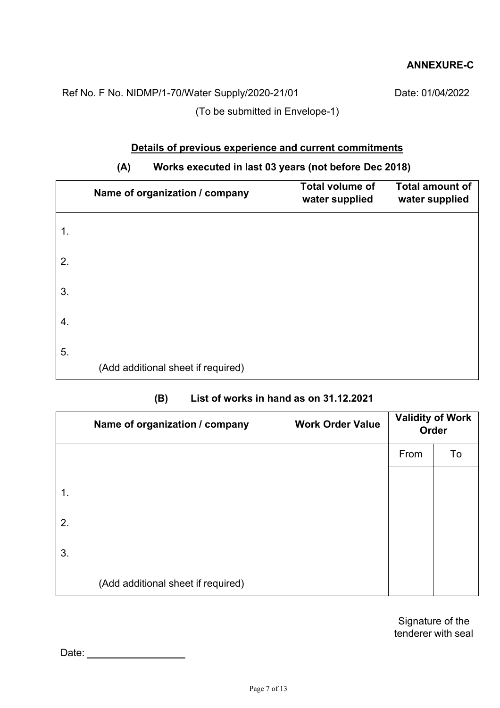### **ANNEXURE-C**

Ref No. F No. NIDMP/1-70/Water Supply/2020-21/01 Date: 01/04/2022

(To be submitted in Envelope-1)

### **Details of previous experience and current commitments**

# **(A) Works executed in last 03 years (not before Dec 2018)**

| Name of organization / company           | <b>Total volume of</b><br>water supplied | <b>Total amount of</b><br>water supplied |
|------------------------------------------|------------------------------------------|------------------------------------------|
| 1.                                       |                                          |                                          |
| 2.                                       |                                          |                                          |
| 3.                                       |                                          |                                          |
| 4.                                       |                                          |                                          |
| 5.<br>(Add additional sheet if required) |                                          |                                          |

#### **(B) List of works in hand as on 31.12.2021**

|    | Name of organization / company     | <b>Work Order Value</b> |      | <b>Validity of Work</b><br>Order |
|----|------------------------------------|-------------------------|------|----------------------------------|
|    |                                    |                         | From | To                               |
|    |                                    |                         |      |                                  |
| 1. |                                    |                         |      |                                  |
| 2. |                                    |                         |      |                                  |
| 3. |                                    |                         |      |                                  |
|    | (Add additional sheet if required) |                         |      |                                  |

Signature of the tenderer with seal

Date: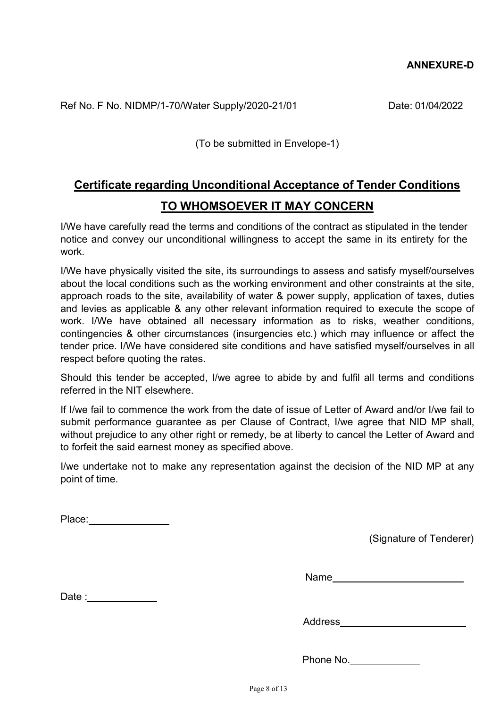Ref No. F No. NIDMP/1-70/Water Supply/2020-21/01 Date: 01/04/2022

(To be submitted in Envelope-1)

# **Certificate regarding Unconditional Acceptance of Tender Conditions TO WHOMSOEVER IT MAY CONCERN**

I/We have carefully read the terms and conditions of the contract as stipulated in the tender notice and convey our unconditional willingness to accept the same in its entirety for the work.

I/We have physically visited the site, its surroundings to assess and satisfy myself/ourselves about the local conditions such as the working environment and other constraints at the site, approach roads to the site, availability of water & power supply, application of taxes, duties and levies as applicable & any other relevant information required to execute the scope of work. I/We have obtained all necessary information as to risks, weather conditions, contingencies & other circumstances (insurgencies etc.) which may influence or affect the tender price. I/We have considered site conditions and have satisfied myself/ourselves in all respect before quoting the rates.

Should this tender be accepted, I/we agree to abide by and fulfil all terms and conditions referred in the NIT elsewhere.

If I/we fail to commence the work from the date of issue of Letter of Award and/or I/we fail to submit performance guarantee as per Clause of Contract, I/we agree that NID MP shall, without prejudice to any other right or remedy, be at liberty to cancel the Letter of Award and to forfeit the said earnest money as specified above.

I/we undertake not to make any representation against the decision of the NID MP at any point of time.

Place: **Example** 

(Signature of Tenderer)

Name and the state of the state of the state of the state of the state of the state of the state of the state of the state of the state of the state of the state of the state of the state of the state of the state of the s

Date : the state of  $\sim$ 

Address

Phone No.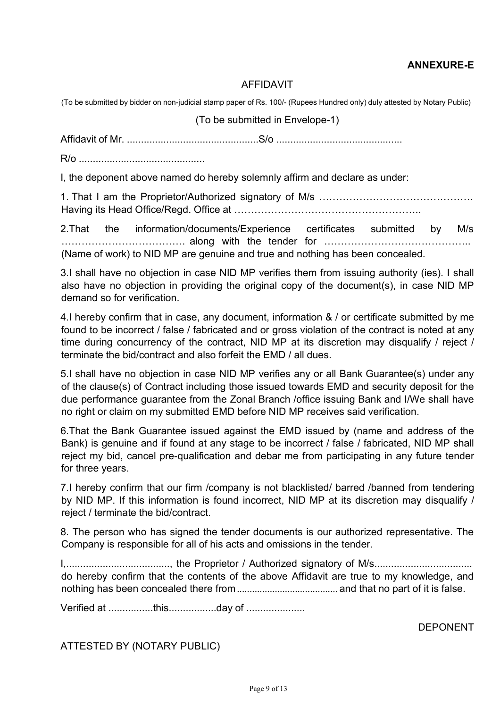# **ANNEXURE-E**

#### AFFIDAVIT

(To be submitted by bidder on non-judicial stamp paper of Rs. 100/- (Rupees Hundred only) duly attested by Notary Public)

(To be submitted in Envelope-1)

Affidavit of Mr. ...............................................S/o .............................................

R/o .............................................

I, the deponent above named do hereby solemnly affirm and declare as under:

1. That I am the Proprietor/Authorized signatory of M/s ………………………………………. Having its Head Office/Regd. Office at ………………………………………………..

2.That the information/documents/Experience certificates submitted by M/s ………………………………. along with the tender for …………………………………….. (Name of work) to NID MP are genuine and true and nothing has been concealed.

3.I shall have no objection in case NID MP verifies them from issuing authority (ies). I shall also have no objection in providing the original copy of the document(s), in case NID MP demand so for verification.

4.I hereby confirm that in case, any document, information & / or certificate submitted by me found to be incorrect / false / fabricated and or gross violation of the contract is noted at any time during concurrency of the contract, NID MP at its discretion may disqualify / reject / terminate the bid/contract and also forfeit the EMD / all dues.

5.I shall have no objection in case NID MP verifies any or all Bank Guarantee(s) under any of the clause(s) of Contract including those issued towards EMD and security deposit for the due performance guarantee from the Zonal Branch /office issuing Bank and I/We shall have no right or claim on my submitted EMD before NID MP receives said verification.

6.That the Bank Guarantee issued against the EMD issued by (name and address of the Bank) is genuine and if found at any stage to be incorrect / false / fabricated, NID MP shall reject my bid, cancel pre-qualification and debar me from participating in any future tender for three years.

7.I hereby confirm that our firm /company is not blacklisted/ barred /banned from tendering by NID MP. If this information is found incorrect, NID MP at its discretion may disqualify / reject / terminate the bid/contract.

8. The person who has signed the tender documents is our authorized representative. The Company is responsible for all of his acts and omissions in the tender.

I,....................................., the Proprietor / Authorized signatory of M/s................................... do hereby confirm that the contents of the above Affidavit are true to my knowledge, and nothing has been concealed there from........................................ and that no part of it is false.

Verified at ................this.................day of .....................

DEPONENT

ATTESTED BY (NOTARY PUBLIC)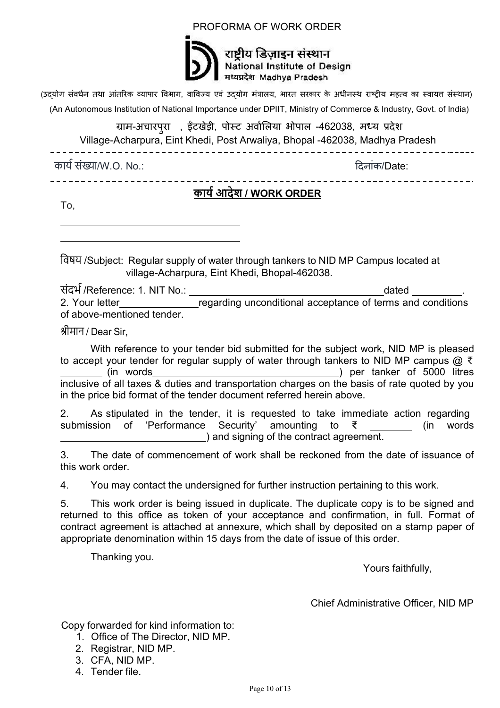#### PROFORMA OF WORK ORDER



राष्टीय डिजाइन संस्थान National Institute of Design मध्यप्रदेश Madhya Pradesh

(उदयोग संवर्धन तथा आंतरिक व्यापार विभाग, वाविज्य एवं उदयोग मंत्रालय, भारत सरकार के अधीनस्थ राष्ट्रीय महत्व का स्वायत संस्थान)

(An Autonomous Institution of National Importance under DPIIT, [Ministry of Commerce & Industry,](https://en.wikipedia.org/wiki/Ministry_of_Commerce_and_Industry_(India)) Govt. of India)

ग्राम-अचारपुरा , इटखेड़ी, पोस्ट अवॉलिया भोपाल -462038, मध्य प्रदेश

Village-Acharpura, Eint Khedi, Post Arwaliya, Bhopal -462038, Madhya Pradesh

\_\_\_\_\_\_\_\_\_\_\_\_\_\_\_\_\_\_\_\_\_\_\_\_

काय� सं�ा/W.O. No.: �दनांक/Date:

# **काय� आदेश / WORK ORDER**

To,

िवषय /Subject: Regular supply of water through tankers to NID MP Campus located at village-Acharpura, Eint Khedi, Bhopal-462038.

संदभ� /Reference: 1. NIT No.: dated . regarding unconditional acceptance of terms and conditions of above-mentioned tender.

श्रीमान / Dear Sir,

With reference to your tender bid submitted for the subject work, NID MP is pleased to accept your tender for regular supply of water through tankers to NID MP campus @ ₹ (in words ) per tanker of 5000 litres inclusive of all taxes & duties and transportation charges on the basis of rate quoted by you in the price bid format of the tender document referred herein above.

2. As stipulated in the tender, it is requested to take immediate action regarding submission of 'Performance Security' amounting to ₹ ) and signing of the contract agreement. (in words

3. The date of commencement of work shall be reckoned from the date of issuance of this work order.

4. You may contact the undersigned for further instruction pertaining to this work.

5. This work order is being issued in duplicate. The duplicate copy is to be signed and returned to this office as token of your acceptance and confirmation, in full. Format of contract agreement is attached at annexure, which shall by deposited on a stamp paper of appropriate denomination within 15 days from the date of issue of this order.

Thanking you.

Yours faithfully,

Chief Administrative Officer, NID MP

Copy forwarded for kind information to:

- 1. Office of The Director, NID MP.
- 2. Registrar, NID MP.
- 3. CFA, NID MP.
- 4. Tender file.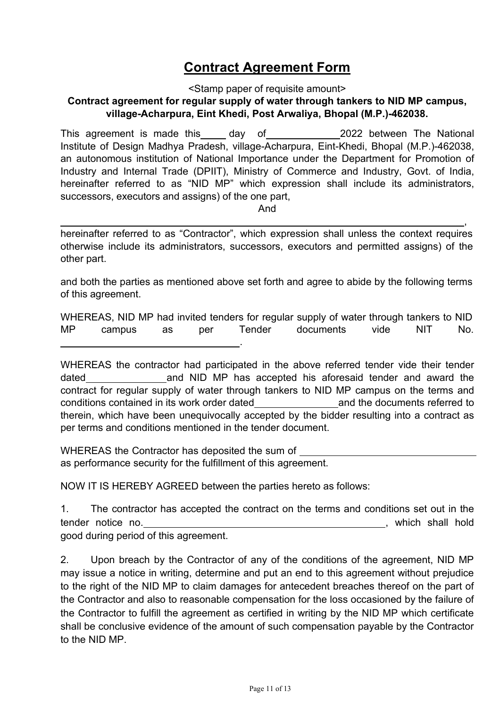# **Contract Agreement Form**

<Stamp paper of requisite amount>

### **Contract agreement for regular supply of water through tankers to NID MP campus, village-Acharpura, Eint Khedi, Post Arwaliya, Bhopal (M.P.)-462038.**

This agreement is made this day of 2022 between The National Institute of Design Madhya Pradesh, village-Acharpura, Eint-Khedi, Bhopal (M.P.)-462038, an autonomous institution of National Importance under the Department for Promotion of Industry and Internal Trade (DPIIT), Ministry of Commerce and Industry, Govt. of India, hereinafter referred to as "NID MP" which expression shall include its administrators, successors, executors and assigns) of the one part,

And

, hereinafter referred to as "Contractor", which expression shall unless the context requires otherwise include its administrators, successors, executors and permitted assigns) of the other part.

and both the parties as mentioned above set forth and agree to abide by the following terms of this agreement.

WHEREAS, NID MP had invited tenders for regular supply of water through tankers to NID MP campus as per Tender documents vide NIT No. .

WHEREAS the contractor had participated in the above referred tender vide their tender dated and NID MP has accepted his aforesaid tender and award the contract for regular supply of water through tankers to NID MP campus on the terms and conditions contained in its work order dated and the documents referred to therein, which have been unequivocally accepted by the bidder resulting into a contract as per terms and conditions mentioned in the tender document.

WHEREAS the Contractor has deposited the sum of as performance security for the fulfillment of this agreement.

NOW IT IS HEREBY AGREED between the parties hereto as follows:

1. The contractor has accepted the contract on the terms and conditions set out in the tender notice no. *CONSERVENT* 1 and 1 and 1 and 1 and 1 and 1 and 1 and 1 and 1 and 1 and 1 and 1 and 1 and 1 and 1 and 1 and 1 and 1 and 1 and 1 and 1 and 1 and 1 and 1 and 1 and 1 and 1 and 1 and 1 and 1 and 1 and 1 a good during period of this agreement.

2. Upon breach by the Contractor of any of the conditions of the agreement, NID MP may issue a notice in writing, determine and put an end to this agreement without prejudice to the right of the NID MP to claim damages for antecedent breaches thereof on the part of the Contractor and also to reasonable compensation for the loss occasioned by the failure of the Contractor to fulfill the agreement as certified in writing by the NID MP which certificate shall be conclusive evidence of the amount of such compensation payable by the Contractor to the NID MP.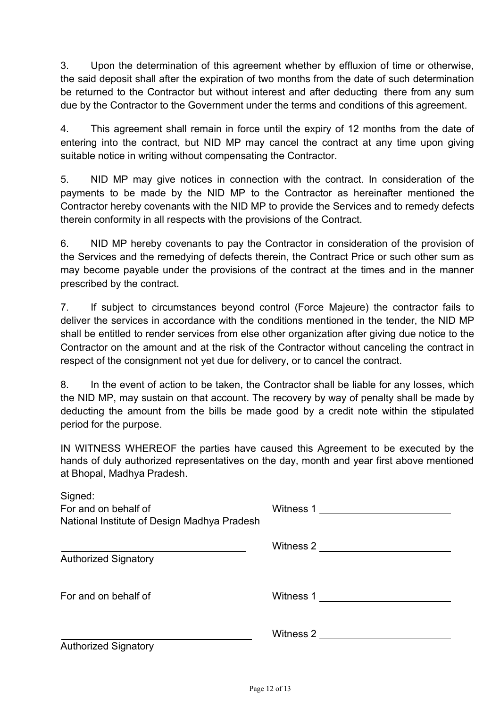3. Upon the determination of this agreement whether by effluxion of time or otherwise, the said deposit shall after the expiration of two months from the date of such determination be returned to the Contractor but without interest and after deducting there from any sum due by the Contractor to the Government under the terms and conditions of this agreement.

4. This agreement shall remain in force until the expiry of 12 months from the date of entering into the contract, but NID MP may cancel the contract at any time upon giving suitable notice in writing without compensating the Contractor.

5. NID MP may give notices in connection with the contract. In consideration of the payments to be made by the NID MP to the Contractor as hereinafter mentioned the Contractor hereby covenants with the NID MP to provide the Services and to remedy defects therein conformity in all respects with the provisions of the Contract.

6. NID MP hereby covenants to pay the Contractor in consideration of the provision of the Services and the remedying of defects therein, the Contract Price or such other sum as may become payable under the provisions of the contract at the times and in the manner prescribed by the contract.

7. If subject to circumstances beyond control (Force Majeure) the contractor fails to deliver the services in accordance with the conditions mentioned in the tender, the NID MP shall be entitled to render services from else other organization after giving due notice to the Contractor on the amount and at the risk of the Contractor without canceling the contract in respect of the consignment not yet due for delivery, or to cancel the contract.

8. In the event of action to be taken, the Contractor shall be liable for any losses, which the NID MP, may sustain on that account. The recovery by way of penalty shall be made by deducting the amount from the bills be made good by a credit note within the stipulated period for the purpose.

IN WITNESS WHEREOF the parties have caused this Agreement to be executed by the hands of duly authorized representatives on the day, month and year first above mentioned at Bhopal, Madhya Pradesh.

| Signed:<br>For and on behalf of<br>National Institute of Design Madhya Pradesh | Witness 1 <u>_________________</u>    |
|--------------------------------------------------------------------------------|---------------------------------------|
| <b>Authorized Signatory</b>                                                    | Witness 2 <u>__________________</u>   |
| For and on behalf of                                                           | Witness 1 <u>_________________</u>    |
| <b>Authorized Signatory</b>                                                    | Witness 2 ___________________________ |